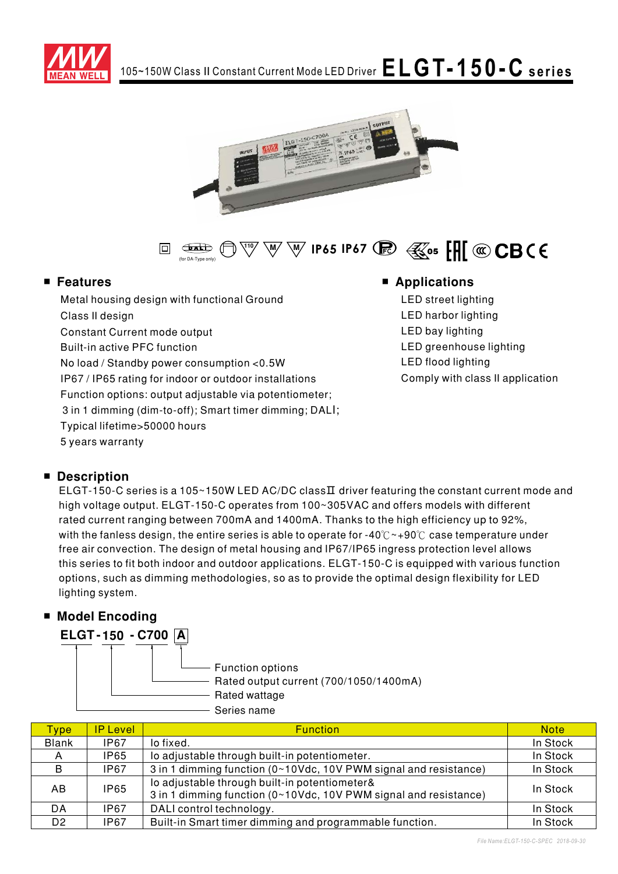





## $\blacksquare$  Features

Metal housing design with functional Ground Class II design Constant Current mode output **Built-in active PFC function** No load / Standby power consumption <0.5W IP67 / IP65 rating for indoor or outdoor installations Function options: output adjustable via potentiometer; 3 in 1 dimming (dim-to-off); Smart timer dimming; DALI; Typical lifetime>50000 hours 5 years warranty

## **Applications**

LED street lighting LED harbor lighting LED bay lighting LED greenhouse lighting **LED flood lighting** Comply with class II application

## **Description**

ELGT-150-C series is a 105~150W LED AC/DC classII driver featuring the constant current mode and high voltage output. ELGT-150-C operates from 100~305VAC and offers models with different rated current ranging between 700mA and 1400mA. Thanks to the high efficiency up to 92%, with the fanless design, the entire series is able to operate for -40 $\degree$  ~+90 $\degree$ C case temperature under free air convection. The design of metal housing and IP67/IP65 ingress protection level allows this series to fit both indoor and outdoor applications. ELGT-150-C is equipped with various function options, such as dimming methodologies, so as to provide the optimal design flexibility for LED lighting system.

## ■ Model Encoding



| Type           | <b>IP Level</b> | <b>Function</b>                                                                                                   | <b>Note</b> |
|----------------|-----------------|-------------------------------------------------------------------------------------------------------------------|-------------|
| <b>Blank</b>   | IP67            | lo fixed.                                                                                                         | In Stock    |
| A              | <b>IP65</b>     | lo adjustable through built-in potentiometer.                                                                     | In Stock    |
| B              | IP67            | 3 in 1 dimming function (0~10Vdc, 10V PWM signal and resistance)                                                  | In Stock    |
| AB             | <b>IP65</b>     | lo adjustable through built-in potentiometer&<br>3 in 1 dimming function (0~10Vdc, 10V PWM signal and resistance) | In Stock    |
| DA             | IP67            | DALI control technology.                                                                                          | In Stock    |
| D <sub>2</sub> | IP67            | Built-in Smart timer dimming and programmable function.                                                           | In Stock    |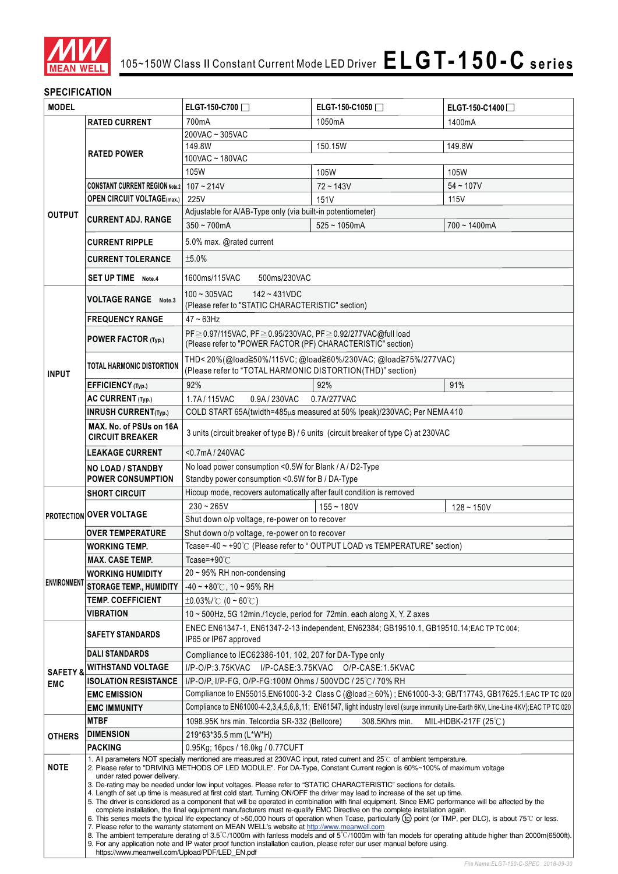

## **SPECIFICATION**

| <b>MODEL</b>        |                                                                                                                                                                            | ELGT-150-C700                                                                                                                                                                                                                                                                       | ELGT-150-C1050                                                                                                         | ELGT-150-C1400□ |  |  |
|---------------------|----------------------------------------------------------------------------------------------------------------------------------------------------------------------------|-------------------------------------------------------------------------------------------------------------------------------------------------------------------------------------------------------------------------------------------------------------------------------------|------------------------------------------------------------------------------------------------------------------------|-----------------|--|--|
|                     | <b>RATED CURRENT</b>                                                                                                                                                       | 700mA                                                                                                                                                                                                                                                                               | 1050mA                                                                                                                 | 1400mA          |  |  |
|                     |                                                                                                                                                                            | 200VAC ~ 305VAC                                                                                                                                                                                                                                                                     |                                                                                                                        |                 |  |  |
|                     | <b>RATED POWER</b>                                                                                                                                                         | 149.8W<br>150.15W<br>149.8W                                                                                                                                                                                                                                                         |                                                                                                                        |                 |  |  |
|                     |                                                                                                                                                                            | 100VAC ~ 180VAC                                                                                                                                                                                                                                                                     |                                                                                                                        |                 |  |  |
|                     |                                                                                                                                                                            | 105W                                                                                                                                                                                                                                                                                | 105W                                                                                                                   | 105W            |  |  |
|                     | <b>CONSTANT CURRENT REGION Note.2</b>                                                                                                                                      | $107 - 214V$                                                                                                                                                                                                                                                                        | $72 - 143V$                                                                                                            | $54 - 107V$     |  |  |
|                     | <b>OPEN CIRCUIT VOLTAGE(max.)</b>                                                                                                                                          | 225V                                                                                                                                                                                                                                                                                | 151V                                                                                                                   | 115V            |  |  |
| <b>OUTPUT</b>       | <b>CURRENT ADJ. RANGE</b>                                                                                                                                                  | Adjustable for A/AB-Type only (via built-in potentiometer)                                                                                                                                                                                                                          |                                                                                                                        |                 |  |  |
|                     |                                                                                                                                                                            | $350 - 700$ mA                                                                                                                                                                                                                                                                      | $525 - 1050$ mA                                                                                                        | $700 - 1400$ mA |  |  |
|                     | <b>CURRENT RIPPLE</b>                                                                                                                                                      | 5.0% max. @rated current                                                                                                                                                                                                                                                            |                                                                                                                        |                 |  |  |
|                     | <b>CURRENT TOLERANCE</b>                                                                                                                                                   | ±5.0%                                                                                                                                                                                                                                                                               |                                                                                                                        |                 |  |  |
|                     | <b>SET UP TIME</b> Note.4                                                                                                                                                  | 1600ms/115VAC<br>500ms/230VAC                                                                                                                                                                                                                                                       |                                                                                                                        |                 |  |  |
|                     |                                                                                                                                                                            |                                                                                                                                                                                                                                                                                     |                                                                                                                        |                 |  |  |
|                     | <b>VOLTAGE RANGE</b> Note.3                                                                                                                                                | $100 - 305$ VAC<br>$142 - 431VDC$                                                                                                                                                                                                                                                   |                                                                                                                        |                 |  |  |
|                     |                                                                                                                                                                            | (Please refer to "STATIC CHARACTERISTIC" section)                                                                                                                                                                                                                                   |                                                                                                                        |                 |  |  |
|                     | <b>FREQUENCY RANGE</b>                                                                                                                                                     | 47~63Hz                                                                                                                                                                                                                                                                             |                                                                                                                        |                 |  |  |
|                     | POWER FACTOR (Typ.)                                                                                                                                                        | PF≥0.97/115VAC, PF≥0.95/230VAC, PF≥0.92/277VAC@full load<br>(Please refer to "POWER FACTOR (PF) CHARACTERISTIC" section)                                                                                                                                                            |                                                                                                                        |                 |  |  |
|                     |                                                                                                                                                                            |                                                                                                                                                                                                                                                                                     | THD<20%(@load≧50%/115VC; @load≧60%/230VAC; @load≧75%/277VAC)                                                           |                 |  |  |
| <b>INPUT</b>        | <b>TOTAL HARMONIC DISTORTION</b>                                                                                                                                           | (Please refer to "TOTAL HARMONIC DISTORTION(THD)" section)                                                                                                                                                                                                                          |                                                                                                                        |                 |  |  |
|                     | EFFICIENCY (Typ.)                                                                                                                                                          | 92%                                                                                                                                                                                                                                                                                 | 92%                                                                                                                    | 91%             |  |  |
|                     | AC CURRENT (Typ.)                                                                                                                                                          | 1.7A / 115VAC<br>0.9A / 230VAC                                                                                                                                                                                                                                                      | 0.7A/277VAC                                                                                                            |                 |  |  |
|                     | <b>INRUSH CURRENT(Typ.)</b>                                                                                                                                                |                                                                                                                                                                                                                                                                                     | COLD START 65A(twidth=485µs measured at 50% Ipeak)/230VAC; Per NEMA 410                                                |                 |  |  |
|                     | MAX. No. of PSUs on 16A                                                                                                                                                    |                                                                                                                                                                                                                                                                                     |                                                                                                                        |                 |  |  |
|                     | <b>CIRCUIT BREAKER</b>                                                                                                                                                     |                                                                                                                                                                                                                                                                                     | 3 units (circuit breaker of type B) / 6 units (circuit breaker of type C) at 230VAC                                    |                 |  |  |
|                     | <b>LEAKAGE CURRENT</b>                                                                                                                                                     | <0.7mA / 240VAC                                                                                                                                                                                                                                                                     |                                                                                                                        |                 |  |  |
|                     | <b>NO LOAD / STANDBY</b>                                                                                                                                                   | No load power consumption <0.5W for Blank / A / D2-Type                                                                                                                                                                                                                             |                                                                                                                        |                 |  |  |
|                     | <b>POWER CONSUMPTION</b>                                                                                                                                                   | Standby power consumption <0.5W for B / DA-Type                                                                                                                                                                                                                                     |                                                                                                                        |                 |  |  |
|                     | <b>SHORT CIRCUIT</b>                                                                                                                                                       | Hiccup mode, recovers automatically after fault condition is removed                                                                                                                                                                                                                |                                                                                                                        |                 |  |  |
|                     |                                                                                                                                                                            | $230 - 265V$                                                                                                                                                                                                                                                                        | $155 - 180V$                                                                                                           | $128 - 150V$    |  |  |
|                     | <b>PROTECTION OVER VOLTAGE</b>                                                                                                                                             | Shut down o/p voltage, re-power on to recover                                                                                                                                                                                                                                       |                                                                                                                        |                 |  |  |
|                     | <b>OVER TEMPERATURE</b>                                                                                                                                                    | Shut down o/p voltage, re-power on to recover                                                                                                                                                                                                                                       |                                                                                                                        |                 |  |  |
|                     | <b>WORKING TEMP.</b>                                                                                                                                                       | Tcase=-40 ~ +90°C (Please refer to "OUTPUT LOAD vs TEMPERATURE" section)                                                                                                                                                                                                            |                                                                                                                        |                 |  |  |
|                     | <b>MAX. CASE TEMP.</b>                                                                                                                                                     | Tcase=+90 $°C$                                                                                                                                                                                                                                                                      |                                                                                                                        |                 |  |  |
|                     | <b>WORKING HUMIDITY</b>                                                                                                                                                    | 20 ~ 95% RH non-condensing                                                                                                                                                                                                                                                          |                                                                                                                        |                 |  |  |
| <b>ENVIRONMENT</b>  | <b>STORAGE TEMP., HUMIDITY</b>                                                                                                                                             | $-40 \sim +80^{\circ}$ C, 10 ~ 95% RH                                                                                                                                                                                                                                               |                                                                                                                        |                 |  |  |
|                     | <b>TEMP. COEFFICIENT</b>                                                                                                                                                   | $\pm 0.03\%$ /°C (0 ~ 60°C)                                                                                                                                                                                                                                                         |                                                                                                                        |                 |  |  |
|                     | VIBRATION                                                                                                                                                                  | 10 ~ 500Hz, 5G 12min./1cycle, period for 72min. each along X, Y, Z axes                                                                                                                                                                                                             |                                                                                                                        |                 |  |  |
|                     | <b>SAFETY STANDARDS</b>                                                                                                                                                    | ENEC EN61347-1, EN61347-2-13 independent, EN62384; GB19510.1, GB19510.14; EAC TP TC 004;                                                                                                                                                                                            |                                                                                                                        |                 |  |  |
|                     |                                                                                                                                                                            | IP65 or IP67 approved                                                                                                                                                                                                                                                               |                                                                                                                        |                 |  |  |
| <b>SAFETY &amp;</b> | <b>DALI STANDARDS</b>                                                                                                                                                      | Compliance to IEC62386-101, 102, 207 for DA-Type only                                                                                                                                                                                                                               |                                                                                                                        |                 |  |  |
|                     | <b>WITHSTAND VOLTAGE</b>                                                                                                                                                   | I/P-O/P:3.75KVAC<br>I/P-CASE:3.75KVAC O/P-CASE:1.5KVAC                                                                                                                                                                                                                              |                                                                                                                        |                 |  |  |
| <b>EMC</b>          | <b>ISOLATION RESISTANCE</b><br><b>EMC EMISSION</b>                                                                                                                         | I/P-O/P, I/P-FG, O/P-FG:100M Ohms / 500VDC / 25℃/ 70% RH                                                                                                                                                                                                                            |                                                                                                                        |                 |  |  |
|                     | <b>EMC IMMUNITY</b>                                                                                                                                                        | Compliance to EN55015,EN61000-3-2 Class C (@load ≥ 60%) ; EN61000-3-3; GB/T17743, GB17625.1;EAC TP TC 020<br>Compliance to EN61000-4-2,3,4,5,6,8,11; EN61547, light industry level (surge immunity Line-Earth 6KV, Line-Line 4KV);EAC TP TC 020                                     |                                                                                                                        |                 |  |  |
|                     | <b>MTBF</b>                                                                                                                                                                | 1098.95K hrs min. Telcordia SR-332 (Bellcore)<br>308.5Khrs min.<br>MIL-HDBK-217F (25 $°C$ )                                                                                                                                                                                         |                                                                                                                        |                 |  |  |
| <b>OTHERS</b>       | <b>DIMENSION</b>                                                                                                                                                           | 219*63*35.5 mm (L*W*H)                                                                                                                                                                                                                                                              |                                                                                                                        |                 |  |  |
|                     | <b>PACKING</b>                                                                                                                                                             | 0.95Kg; 16pcs / 16.0kg / 0.77CUFT                                                                                                                                                                                                                                                   |                                                                                                                        |                 |  |  |
|                     |                                                                                                                                                                            |                                                                                                                                                                                                                                                                                     | 1. All parameters NOT specially mentioned are measured at 230VAC input, rated current and 25°C of ambient temperature. |                 |  |  |
|                     | <b>NOTE</b><br>2. Please refer to "DRIVING METHODS OF LED MODULE". For DA-Type, Constant Current region is 60%~100% of maximum voltage<br>under rated power delivery.      |                                                                                                                                                                                                                                                                                     |                                                                                                                        |                 |  |  |
|                     |                                                                                                                                                                            | 3. De-rating may be needed under low input voltages. Please refer to "STATIC CHARACTERISTIC" sections for details.                                                                                                                                                                  |                                                                                                                        |                 |  |  |
|                     |                                                                                                                                                                            | 4. Length of set up time is measured at first cold start. Turning ON/OFF the driver may lead to increase of the set up time.<br>5. The driver is considered as a component that will be operated in combination with final equipment. Since EMC performance will be affected by the |                                                                                                                        |                 |  |  |
|                     |                                                                                                                                                                            | complete installation, the final equipment manufacturers must re-qualify EMC Directive on the complete installation again.                                                                                                                                                          |                                                                                                                        |                 |  |  |
|                     |                                                                                                                                                                            | 6. This series meets the typical life expectancy of >50,000 hours of operation when Tcase, particularly (tc) point (or TMP, per DLC), is about 75°C or less.<br>7. Please refer to the warranty statement on MEAN WELL's website at http://www.meanwell.com                         |                                                                                                                        |                 |  |  |
|                     |                                                                                                                                                                            | 8. The ambient temperature derating of 3.5°C/1000m with fanless models and of 5°C/1000m with fan models for operating altitude higher than 2000m(6500ft).                                                                                                                           |                                                                                                                        |                 |  |  |
|                     | 9. For any application note and IP water proof function installation caution, please refer our user manual before using.<br>https://www.meanwell.com/Upload/PDF/LED EN.pdf |                                                                                                                                                                                                                                                                                     |                                                                                                                        |                 |  |  |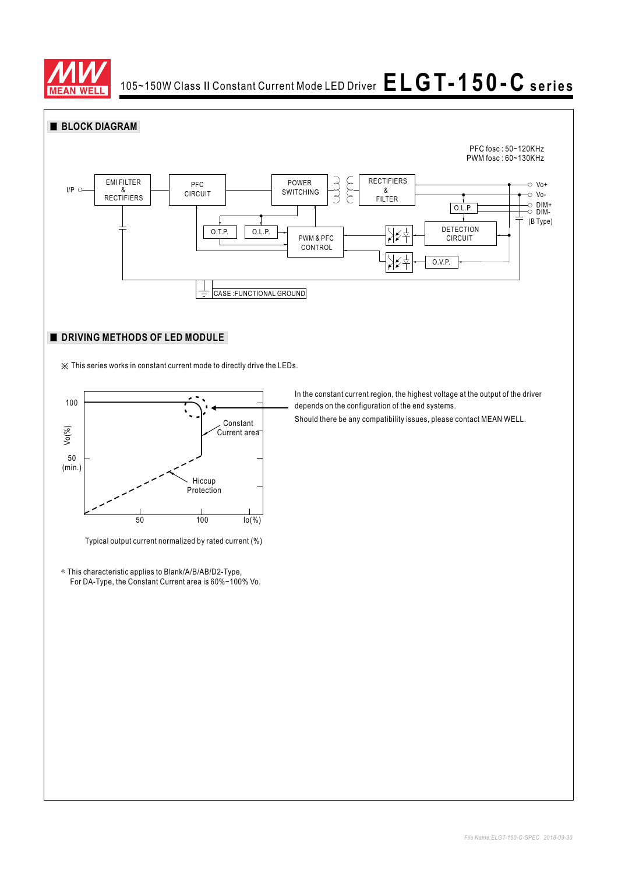



### **DRIVING METHODS OF LED MODULE**

※ This series works in constant current mode to directly drive the LEDs.



Typical output current normalized by rated current (%)

◎ This characteristic applies to Blank/A/B/AB/D2-Type, For DA-Type, the Constant Current area is 60%~100% Vo. In the constant current region, the highest voltage at the output of the driver depends on the configuration of the end systems.

Should there be any compatibility issues, please contact MEAN WELL.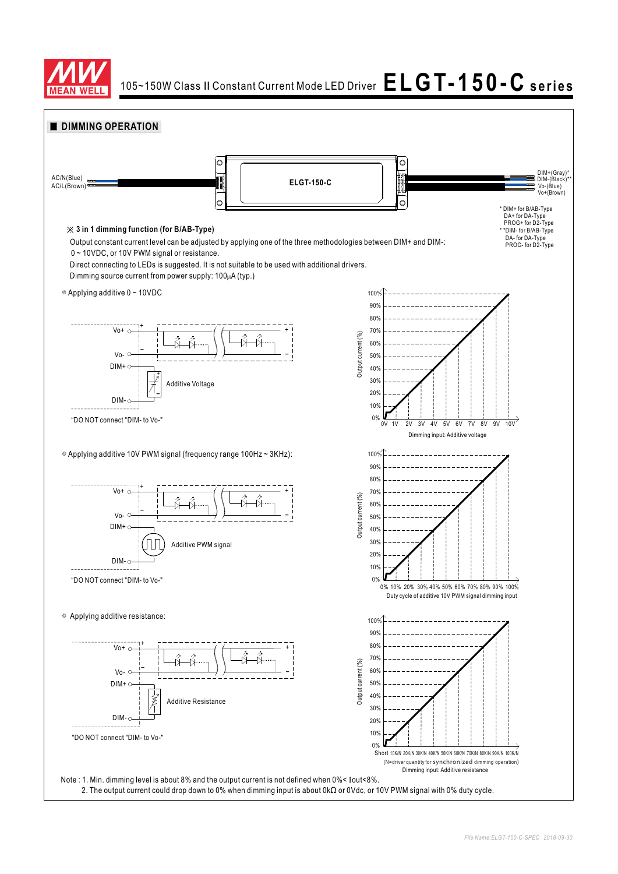

# 105~150W Class II Constant Current Mode LED Driver  $\mathsf{ELGT\text{-}150\text{-}C}$  series

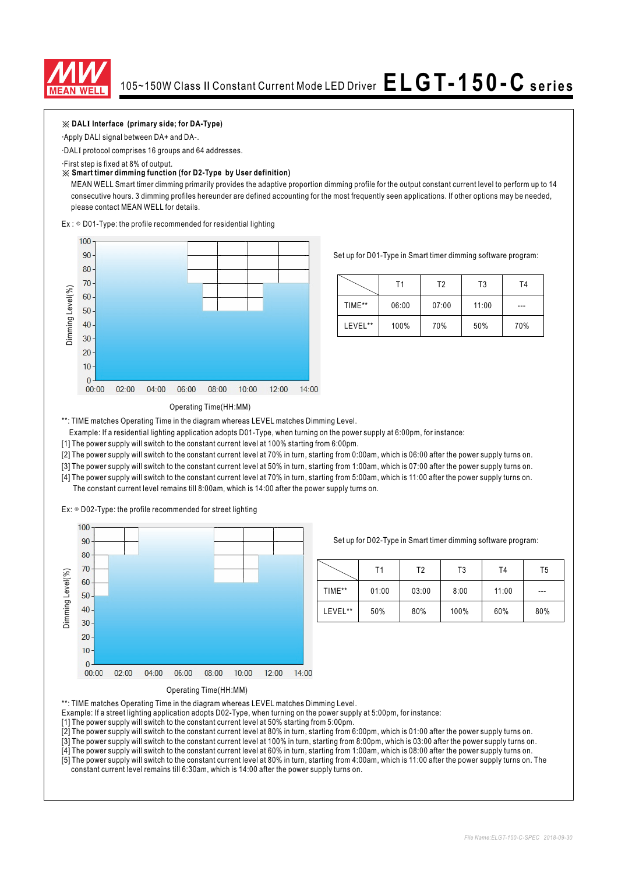

### $\frac{1}{2}$  **DALI** Interface (primary side; for DA-Type)

Apply DALI signal between DA+ and DA-.

DALI protocol comprises 16 groups and 64 addresses.

First step is fixed at 8% of output.

#### ※ **Smart timer dimming function (for D2-Type by User definition)**

MEAN WELL Smart timer dimming primarily provides the adaptive proportion dimming profile for the output constant current level to perform up to 14 consecutive hours. 3 dimming profiles hereunder are defined accounting for the most frequently seen applications. If other options may be needed, please contact MEAN WELL for details.

 $Ex:$   $\circ$  D01-Type: the profile recommended for residential lighting



Set up for D01-Type in Smart timer dimming software program:

|         | Τ1    | T2    | T <sub>3</sub> | T4  |
|---------|-------|-------|----------------|-----|
| TIME**  | 06:00 | 07:00 | 11:00          | --- |
| LEVEL** | 100%  | 70%   | 50%            | 70% |

#### Operating Time(HH:MM)

\*\*: TIME matches Operating Time in the diagram whereas LEVEL matches Dimming Level.

Example: If a residential lighting application adopts D01-Type, when turning on the power supply at 6:00pm, for instance:

[1] The power supply will switch to the constant current level at 100% starting from 6:00pm.

[2] The power supply will switch to the constant current level at 70% in turn, starting from 0:00am, which is 06:00 after the power supply turns on.

[3] The power supply will switch to the constant current level at 50% in turn, starting from 1:00am, which is 07:00 after the power supply turns on.

[4] The power supply will switch to the constant current level at 70% in turn, starting from 5:00am, which is 11:00 after the power supply turns on. The constant current level remains till 8:00am, which is 14:00 after the power supply turns on.

Ex:  $\circ$  D02-Type: the profile recommended for street lighting



Set up for D02-Type in Smart timer dimming software program:

|         | Τ1    | Т2    | T3   | T <sub>4</sub> | T5  |
|---------|-------|-------|------|----------------|-----|
| TIME**  | 01:00 | 03:00 | 8:00 | 11:00          | --- |
| LEVEL** | 50%   | 80%   | 100% | 60%            | 80% |



\*\*: TIME matches Operating Time in the diagram whereas LEVEL matches Dimming Level.

Example: If a street lighting application adopts D02-Type, when turning on the power supply at 5:00pm, for instance:

[1] The power supply will switch to the constant current level at 50% starting from 5:00pm.

[2] The power supply will switch to the constant current level at 80% in turn, starting from 6:00pm, which is 01:00 after the power supply turns on.

[3] The power supply will switch to the constant current level at 100% in turn, starting from 8:00pm, which is 03:00 after the power supply turns on.

[4] The power supply will switch to the constant current level at 60% in turn, starting from 1:00am, which is 08:00 after the power supply turns on. [5] The power supply will switch to the constant current level at 80% in turn, starting from 4:00am, which is 11:00 after the power supply turns on. The

constant current level remains till 6:30am, which is 14:00 after the power supply turns on.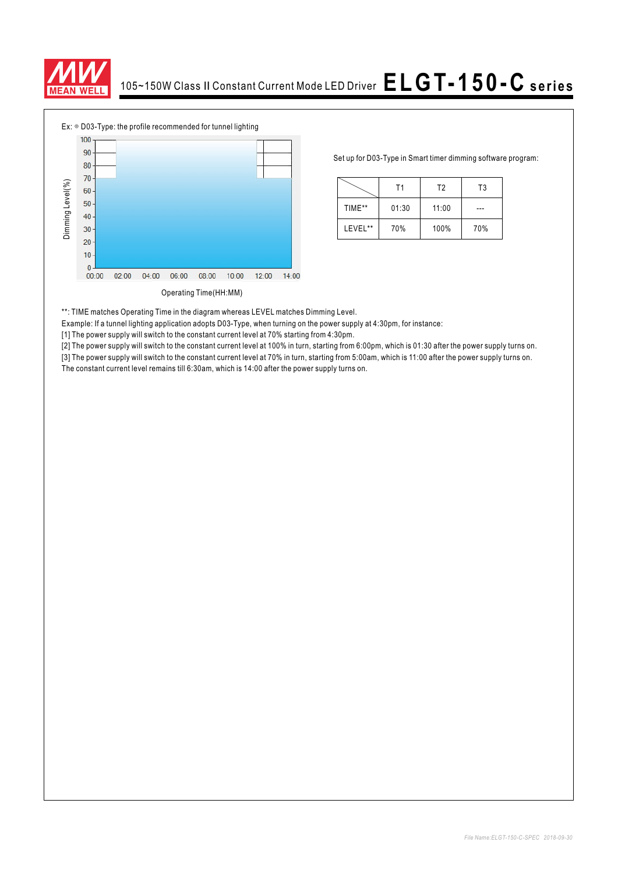



Set up for D03-Type in Smart timer dimming software program:

|         | Τ1    | T <sub>2</sub> | T3  |  |
|---------|-------|----------------|-----|--|
| TIME**  | 01:30 | 11:00          |     |  |
| LEVEL** | 70%   | 100%           | 70% |  |

\*\*: TIME matches Operating Time in the diagram whereas LEVEL matches Dimming Level.

Example: If a tunnel lighting application adopts D03-Type, when turning on the power supply at 4:30pm, for instance:

[1] The power supply will switch to the constant current level at 70% starting from 4:30pm.

[2] The power supply will switch to the constant current level at 100% in turn, starting from 6:00pm, which is 01:30 after the power supply turns on.

[3] The power supply will switch to the constant current level at 70% in turn, starting from 5:00am, which is 11:00 after the power supply turns on.<br>The constant current level remains till 6:30am, which is 14:00 after the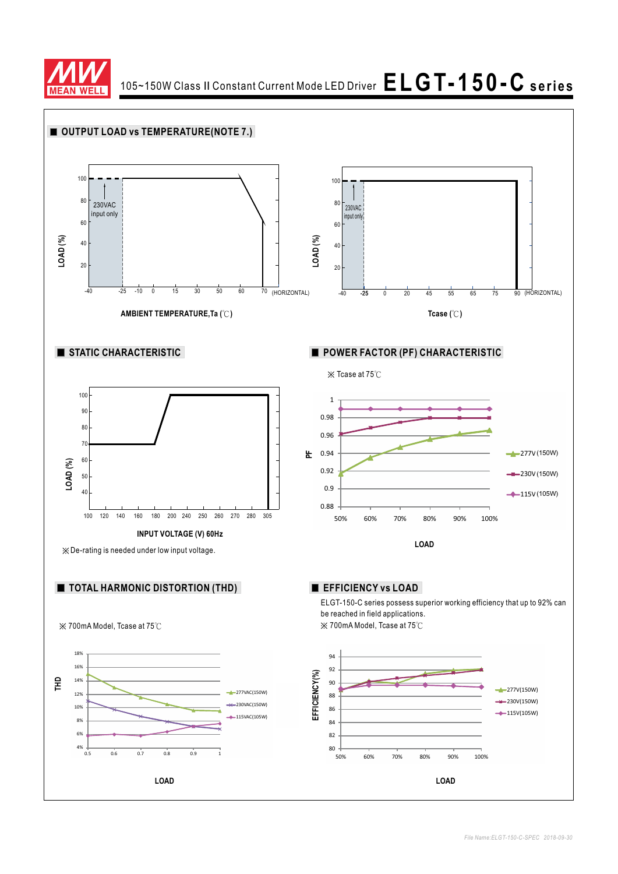

105~150W Class II Constant Current Mode LED Driver  $\mathsf{ELGT\text{-}150\text{-}C}$  series

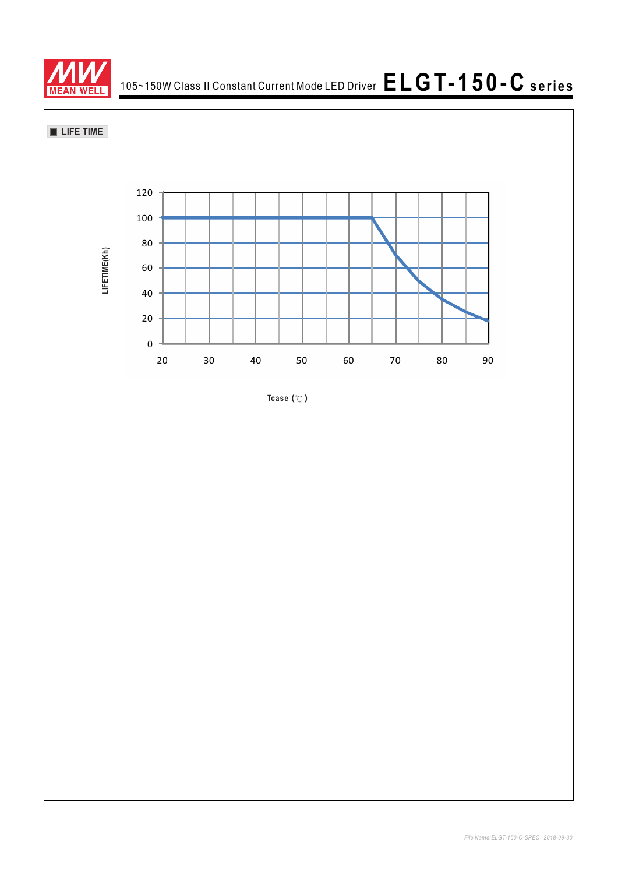



**Tcase ( )** ℃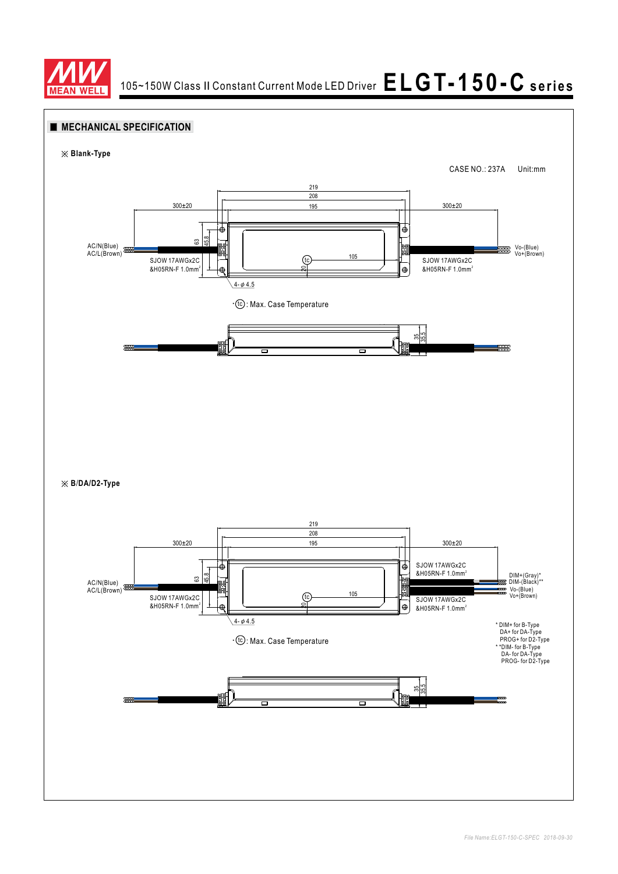

### **MECHANICAL SPECIFICATION**